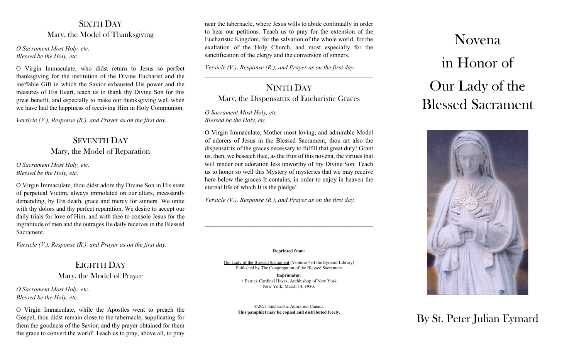# SIXTH DAY Mary, the Model of Thanksgiving

*O Sacrament Most Holy, etc. Blessed be the Holy, etc.*

O Virgin Immaculate, who didst return to Jesus so perfect thanksgiving for the institution of the Divine Eucharist and the ineffable Gift in which the Savior exhausted His power and the treasures of His Heart, teach us to thank thy Divine Son for this great benefit, and especially to make our thanksgiving well when we have had the happiness of receiving Him in Holy Communion.

*Versicle (V.), Response (R.), and Prayer as on the first day.*

SEVENTH DAY Mary, the Model of Reparation

\_\_\_\_\_\_\_\_\_\_\_\_\_\_\_\_\_\_\_\_\_\_\_\_\_\_\_\_\_\_\_\_\_\_\_\_\_\_\_\_\_\_\_\_\_\_\_\_\_\_\_\_\_\_\_\_\_\_\_\_\_\_\_\_\_

*O Sacrament Most Holy, etc. Blessed be the Holy, etc.*

O Virgin Immaculate, thou didst adore thy Divine Son in His state of perpetual Victim, always immolated on our altars, incessantly demanding, by His death, grace and mercy for sinners. We unite with thy dolors and thy perfect reparation. We desire to accept our daily trials for love of Him, and with thee to console Jesus for the ingratitude of men and the outrages He daily receives in the Blessed Sacrament.

*Versicle (V.), Response (R.), and Prayer as on the first day.*

# EIGHTH DAY Mary, the Model of Prayer

 $\mathcal{L}_\text{max} = \frac{1}{2} \sum_{i=1}^n \mathcal{L}_\text{max}(\mathbf{z}_i - \mathbf{z}_i)$ 

*O Sacrament Most Holy, etc. Blessed be the Holy, etc.*

O Virgin Immaculate, while the Apostles went to preach the Gospel, thou didst remain close to the tabernacle, supplicating for them the goodness of the Savior, and thy prayer obtained for them the grace to convert the world! Teach us to pray, above all, to pray

near the tabernacle, where Jesus wills to abide continually in order to hear our petitions. Teach us to pray for the extension of the Eucharistic Kingdom, for the salvation of the whole world, for the exaltation of the Holy Church, and most especially for the sanctification of the clergy and the conversion of sinners.

*Versicle (V.), Response (R.), and Prayer as on the first day.*

# NINTH DAY Mary, the Dispensatrix of Eucharistic Graces

*O Sacrament Most Holy, etc. Blessed be the Holy, etc.*

O Virgin Immaculate, Mother most loving, and admirable Model of adorers of Jesus in the Blessed Sacrament, thou art also the dispensatrix of the graces necessary to fulfill that great duty! Grant us, then, we beseech thee, as the fruit of this novena, the virtues that will render our adoration less unworthy of thy Divine Son. Teach us to honor so well this Mystery of mysteries that we may receive here below the graces It contains, in order to enjoy in heaven the eternal life of which It is the pledge!

*Versicle (V.), Response (R.), and Prayer as on the first day.*

#### **Reprinted from**:

Our Lady of the Blessed Sacrament (Volume 7 of the Eymard Library) Published by The Congregation of the Blessed Sacrament

> **Imprimatur:** + Patrick Cardinal Hayes, Archbishop of New York New York, March 14, 1930.

©2021 Eucharistic Adoration Canada **This pamphlet may be copied and distributed freely.**

# Novena in Honor of Our Lady of the Blessed Sacrament



# By St. Peter Julian Eymard